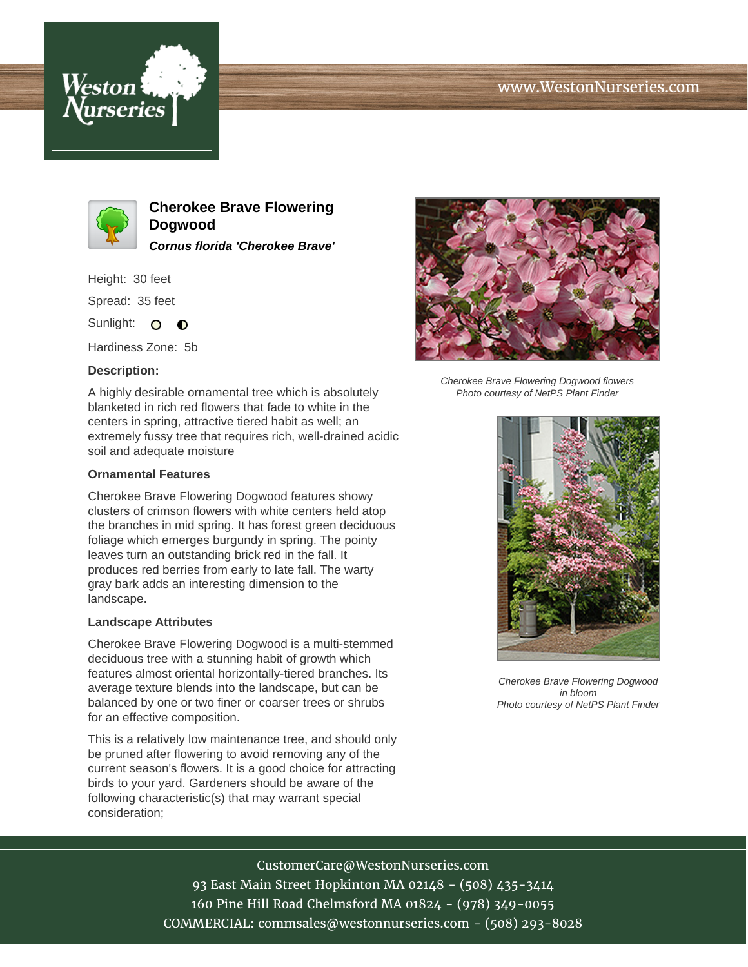





**Cherokee Brave Flowering Dogwood Cornus florida 'Cherokee Brave'**

Height: 30 feet

Spread: 35 feet

Sunlight: O **O** 

Hardiness Zone: 5b

## **Description:**

A highly desirable ornamental tree which is absolutely blanketed in rich red flowers that fade to white in the centers in spring, attractive tiered habit as well; an extremely fussy tree that requires rich, well-drained acidic soil and adequate moisture

## **Ornamental Features**

Cherokee Brave Flowering Dogwood features showy clusters of crimson flowers with white centers held atop the branches in mid spring. It has forest green deciduous foliage which emerges burgundy in spring. The pointy leaves turn an outstanding brick red in the fall. It produces red berries from early to late fall. The warty gray bark adds an interesting dimension to the landscape.

#### **Landscape Attributes**

Cherokee Brave Flowering Dogwood is a multi-stemmed deciduous tree with a stunning habit of growth which features almost oriental horizontally-tiered branches. Its average texture blends into the landscape, but can be balanced by one or two finer or coarser trees or shrubs for an effective composition.

This is a relatively low maintenance tree, and should only be pruned after flowering to avoid removing any of the current season's flowers. It is a good choice for attracting birds to your yard. Gardeners should be aware of the following characteristic(s) that may warrant special consideration;



Cherokee Brave Flowering Dogwood flowers Photo courtesy of NetPS Plant Finder



Cherokee Brave Flowering Dogwood in bloom Photo courtesy of NetPS Plant Finder

# CustomerCare@WestonNurseries.com

93 East Main Street Hopkinton MA 02148 - (508) 435-3414 160 Pine Hill Road Chelmsford MA 01824 - (978) 349-0055 COMMERCIAL: commsales@westonnurseries.com - (508) 293-8028